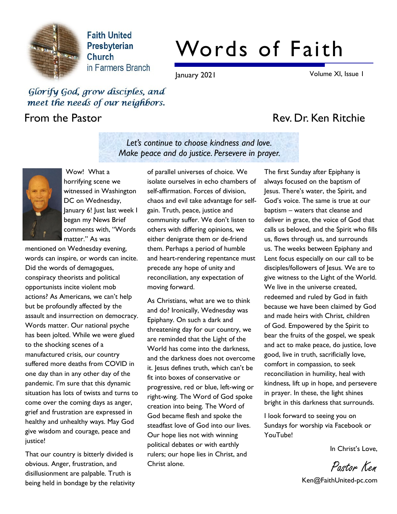

**Faith United** Presbyterian Church in Farmers Branch

# Words of Faith

Let's continue to choose kindness and love. Make peace and do justice. Persevere in prayer.

January 2021 Volume XI, Issue 1

### Glorify God, grow disciples, and meet the needs of our neighbors.

# From the Pastor **Rev. Dr. Ken Ritchie**



Wow! What a horrifying scene we witnessed in Washington DC on Wednesday, January 6! Just last week I began my News Brief comments with, "Words matter." As was

mentioned on Wednesday evening, words can inspire, or words can incite. Did the words of demagogues, conspiracy theorists and political opportunists incite violent mob actions? As Americans, we can't help but be profoundly affected by the assault and insurrection on democracy. Words matter. Our national psyche has been jolted. While we were glued to the shocking scenes of a manufactured crisis, our country suffered more deaths from COVID in one day than in any other day of the pandemic. I'm sure that this dynamic situation has lots of twists and turns to come over the coming days as anger, grief and frustration are expressed in healthy and unhealthy ways. May God give wisdom and courage, peace and justice!

That our country is bitterly divided is obvious. Anger, frustration, and disillusionment are palpable. Truth is being held in bondage by the relativity of parallel universes of choice. We isolate ourselves in echo chambers of self-affirmation. Forces of division, chaos and evil take advantage for selfgain. Truth, peace, justice and community suffer. We don't listen to others with differing opinions, we either denigrate them or de-friend them. Perhaps a period of humble and heart-rendering repentance must precede any hope of unity and reconciliation, any expectation of moving forward.

As Christians, what are we to think and do? Ironically, Wednesday was Epiphany. On such a dark and threatening day for our country, we are reminded that the Light of the World has come into the darkness, and the darkness does not overcome it. Jesus defines truth, which can't be fit into boxes of conservative or progressive, red or blue, left-wing or right-wing. The Word of God spoke creation into being. The Word of God became flesh and spoke the steadfast love of God into our lives. Our hope lies not with winning political debates or with earthly rulers; our hope lies in Christ, and Christ alone.

The first Sunday after Epiphany is always focused on the baptism of Jesus. There's water, the Spirit, and God's voice. The same is true at our baptism – waters that cleanse and deliver in grace, the voice of God that calls us beloved, and the Spirit who fills us, flows through us, and surrounds us. The weeks between Epiphany and Lent focus especially on our call to be disciples/followers of Jesus. We are to give witness to the Light of the World. We live in the universe created, redeemed and ruled by God in faith because we have been claimed by God and made heirs with Christ, children of God. Empowered by the Spirit to bear the fruits of the gospel, we speak and act to make peace, do justice, love good, live in truth, sacrificially love, comfort in compassion, to seek reconciliation in humility, heal with kindness, lift up in hope, and persevere in prayer. In these, the light shines bright in this darkness that surrounds.

I look forward to seeing you on Sundays for worship via Facebook or YouTube!

In Christ's Love,

Pastor Ken

Ken@FaithUnited-pc.com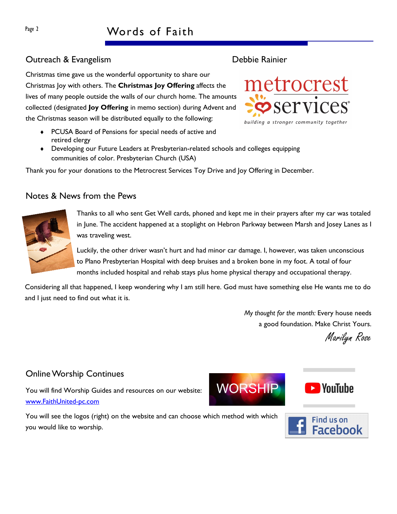# Page 2 Words of Faith

### Outreach & Evangelism **Debbie Rainier Debbie Rainier**

Christmas time gave us the wonderful opportunity to share our Christmas Joy with others. The Christmas Joy Offering affects the lives of many people outside the walls of our church home. The amounts collected (designated **Joy Offering** in memo section) during Advent and the Christmas season will be distributed equally to the following:

- ◆ PCUSA Board of Pensions for special needs of active and retired clergy
- Developing our Future Leaders at Presbyterian-related schools and colleges equipping communities of color. Presbyterian Church (USA)

Thank you for your donations to the Metrocrest Services Toy Drive and Joy Offering in December.

#### Notes & News from the Pews

Thanks to all who sent Get Well cards, phoned and kept me in their prayers after my car was totaled in June. The accident happened at a stoplight on Hebron Parkway between Marsh and Josey Lanes as I was traveling west.

Luckily, the other driver wasn't hurt and had minor car damage. I, however, was taken unconscious to Plano Presbyterian Hospital with deep bruises and a broken bone in my foot. A total of four months included hospital and rehab stays plus home physical therapy and occupational therapy.

Considering all that happened, I keep wondering why I am still here. God must have something else He wants me to do and I just need to find out what it is.

> My thought for the month: Every house needs a good foundation. Make Christ Yours.

Marilyn Rose

#### Online Worship Continues

you would like to worship.

You will find Worship Guides and resources on our website: www.FaithUnited-pc.com

You will see the logos (right) on the website and can choose which method with which







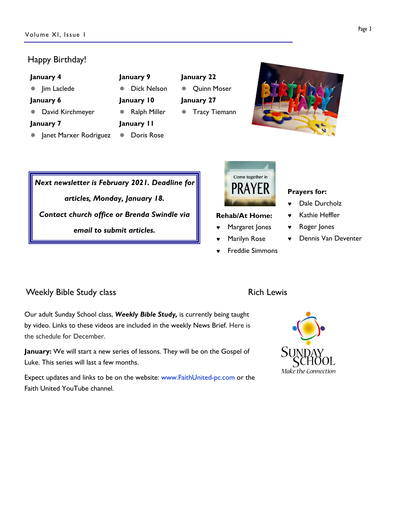#### Happy Birthday!

| January 4                   | January 9               | January 22              |  |
|-----------------------------|-------------------------|-------------------------|--|
| Jim Laclede                 | <b>Dick Nelson</b><br>楽 | <b>Quinn Moser</b><br>楽 |  |
| January 6                   | January 10              | January 27              |  |
| David Kirchmeyer            | Ralph Miller<br>楽       | * Tracy Tiemann         |  |
| January 7                   | January II              |                         |  |
| Janet Marxer Rodriguez<br>泰 | Doris Rose<br>翭         |                         |  |

Next newsletter is February 2021. Deadline for articles, Monday, January 18. Contact church office or Brenda Swindle via email to submit articles.



#### Rehab/At Home:

- Margaret Jones
- © Marilyn Rose
- © Freddie Simmons

#### Prayers for:

- Dale Durcholz
- Kathie Heffler
- Roger Jones
- © Dennis Van Deventer

#### Weekly Bible Study class **Rich Lewis** Rich Lewis

Our adult Sunday School class, Weekly Bible Study, is currently being taught by video. Links to these videos are included in the weekly News Brief. Here is the schedule for December.

January: We will start a new series of lessons. They will be on the Gospel of Luke. This series will last a few months.

Expect updates and links to be on the website: www.FaithUnited-pc.com or the Faith United YouTube channel.



#### Page 3